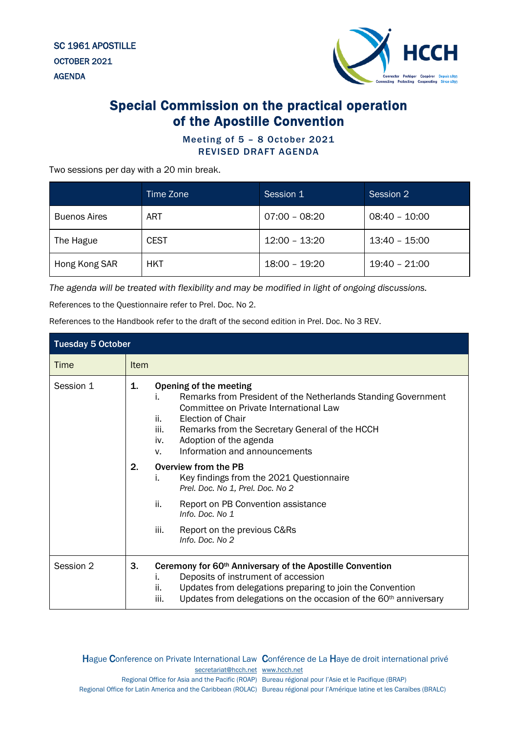SC 1961 APOSTILLE OCTOBER 2021 AGENDA



## Special Commission on the practical operation of the Apostille Convention

## Meeting of 5 – 8 October 2021 REVISED DRAFT AGENDA

Two sessions per day with a 20 min break.

|                     | Time Zone   | Session 1       | Session 2       |
|---------------------|-------------|-----------------|-----------------|
| <b>Buenos Aires</b> | ART         | $07:00 - 08:20$ | $08:40 - 10:00$ |
| The Hague           | <b>CEST</b> | $12:00 - 13:20$ | $13:40 - 15:00$ |
| Hong Kong SAR       | HKT         | 18:00 - 19:20   | 19:40 - 21:00   |

*The agenda will be treated with flexibility and may be modified in light of ongoing discussions.*

References to the Questionnaire refer to Prel. Doc. No 2.

References to the Handbook refer to the draft of the second edition in Prel. Doc. No 3 REV.

| <b>Tuesday 5 October</b> |             |                                                                                                                                                                                                                                                                                                                |  |  |
|--------------------------|-------------|----------------------------------------------------------------------------------------------------------------------------------------------------------------------------------------------------------------------------------------------------------------------------------------------------------------|--|--|
| Time                     | <b>Item</b> |                                                                                                                                                                                                                                                                                                                |  |  |
| Session 1                | 1.          | Opening of the meeting<br>Remarks from President of the Netherlands Standing Government<br>İ.<br>Committee on Private International Law<br>ii.<br>Election of Chair<br>iii.<br>Remarks from the Secretary General of the HCCH<br>Adoption of the agenda<br>iv.<br>Information and announcements<br>$V_{\rm r}$ |  |  |
|                          | 2.          | Overview from the PB<br>Key findings from the 2021 Questionnaire<br>İ.<br>Prel. Doc. No 1, Prel. Doc. No 2                                                                                                                                                                                                     |  |  |
|                          |             | ii.<br>Report on PB Convention assistance<br>Info. Doc. No 1                                                                                                                                                                                                                                                   |  |  |
|                          |             | Report on the previous C&Rs<br>iii.<br>Info. Doc. No 2                                                                                                                                                                                                                                                         |  |  |
| Session 2                | 3.          | Ceremony for 60th Anniversary of the Apostille Convention<br>Deposits of instrument of accession<br>i.<br>Updates from delegations preparing to join the Convention<br>ii.<br>Updates from delegations on the occasion of the 60 <sup>th</sup> anniversary<br>iii.                                             |  |  |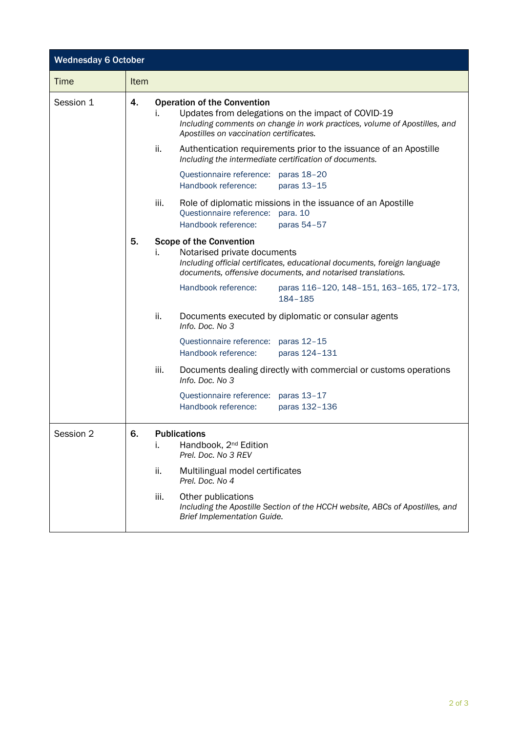| <b>Wednesday 6 October</b> |             |                                                                                                                                                                                                                        |  |
|----------------------------|-------------|------------------------------------------------------------------------------------------------------------------------------------------------------------------------------------------------------------------------|--|
| <b>Time</b>                | <b>Item</b> |                                                                                                                                                                                                                        |  |
| Session 1                  | 4.          | <b>Operation of the Convention</b><br>Updates from delegations on the impact of COVID-19<br>Ι.<br>Including comments on change in work practices, volume of Apostilles, and<br>Apostilles on vaccination certificates. |  |
|                            |             | ii.<br>Authentication requirements prior to the issuance of an Apostille<br>Including the intermediate certification of documents.                                                                                     |  |
|                            |             | Questionnaire reference: paras 18-20<br>Handbook reference:<br>paras 13-15                                                                                                                                             |  |
|                            |             | iii.<br>Role of diplomatic missions in the issuance of an Apostille<br>Questionnaire reference:<br>para. 10<br>Handbook reference:<br>paras 54-57                                                                      |  |
|                            | 5.          | <b>Scope of the Convention</b><br>Notarised private documents<br>İ.<br>Including official certificates, educational documents, foreign language<br>documents, offensive documents, and notarised translations.         |  |
|                            |             | Handbook reference:<br>paras 116-120, 148-151, 163-165, 172-173,<br>184-185                                                                                                                                            |  |
|                            |             | ii.<br>Documents executed by diplomatic or consular agents<br>Info. Doc. No 3                                                                                                                                          |  |
|                            |             | Questionnaire reference: paras 12-15<br>Handbook reference:<br>paras 124-131                                                                                                                                           |  |
|                            |             | iii.<br>Documents dealing directly with commercial or customs operations<br>Info. Doc. No 3                                                                                                                            |  |
|                            |             | Questionnaire reference: paras 13-17<br>Handbook reference:<br>paras 132-136                                                                                                                                           |  |
| Session 2                  | 6.          | <b>Publications</b><br>Handbook, 2 <sup>nd</sup> Edition<br>i.<br>Prel. Doc. No 3 REV                                                                                                                                  |  |
|                            |             | ii.<br>Multilingual model certificates<br>Prel. Doc. No 4                                                                                                                                                              |  |
|                            |             | Other publications<br>iii.<br>Including the Apostille Section of the HCCH website, ABCs of Apostilles, and<br><b>Brief Implementation Guide.</b>                                                                       |  |